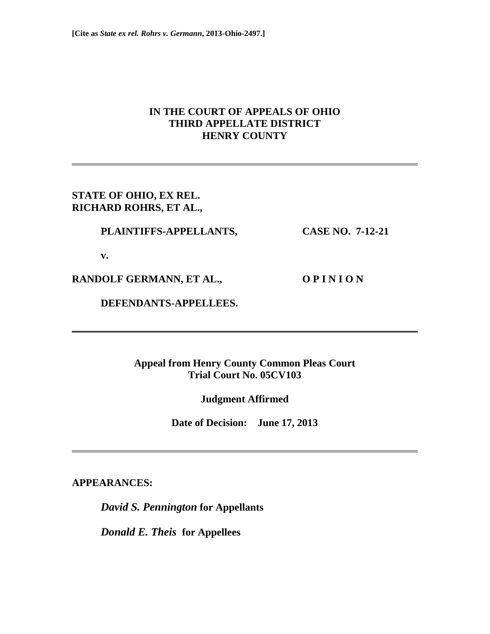# **IN THE COURT OF APPEALS OF OHIO THIRD APPELLATE DISTRICT HENRY COUNTY**

# **STATE OF OHIO, EX REL. RICHARD ROHRS, ET AL.,**

## **PLAINTIFFS-APPELLANTS, CASE NO. 7-12-21**

 **v.** 

RANDOLF GERMANN, ET AL., O P I N I O N

 **DEFENDANTS-APPELLEES.** 

**Appeal from Henry County Common Pleas Court Trial Court No. 05CV103** 

**Judgment Affirmed** 

**Date of Decision: June 17, 2013** 

**APPEARANCES:** 

*David S. Pennington* **for Appellants** 

*Donald E. Theis* **for Appellees**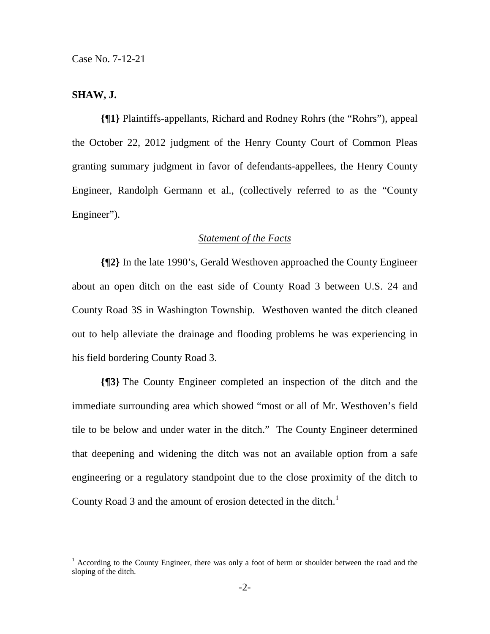## **SHAW, J.**

**{¶1}** Plaintiffs-appellants, Richard and Rodney Rohrs (the "Rohrs"), appeal the October 22, 2012 judgment of the Henry County Court of Common Pleas granting summary judgment in favor of defendants-appellees, the Henry County Engineer, Randolph Germann et al., (collectively referred to as the "County Engineer").

### *Statement of the Facts*

**{¶2}** In the late 1990's, Gerald Westhoven approached the County Engineer about an open ditch on the east side of County Road 3 between U.S. 24 and County Road 3S in Washington Township. Westhoven wanted the ditch cleaned out to help alleviate the drainage and flooding problems he was experiencing in his field bordering County Road 3.

**{¶3}** The County Engineer completed an inspection of the ditch and the immediate surrounding area which showed "most or all of Mr. Westhoven's field tile to be below and under water in the ditch." The County Engineer determined that deepening and widening the ditch was not an available option from a safe engineering or a regulatory standpoint due to the close proximity of the ditch to County Road 3 and the amount of erosion detected in the ditch.<sup>1</sup>

<sup>&</sup>lt;sup>1</sup> According to the County Engineer, there was only a foot of berm or shoulder between the road and the sloping of the ditch.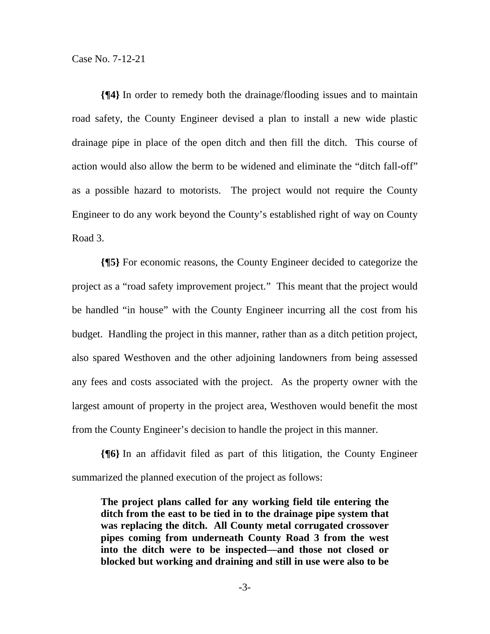**{¶4}** In order to remedy both the drainage/flooding issues and to maintain road safety, the County Engineer devised a plan to install a new wide plastic drainage pipe in place of the open ditch and then fill the ditch. This course of action would also allow the berm to be widened and eliminate the "ditch fall-off" as a possible hazard to motorists. The project would not require the County Engineer to do any work beyond the County's established right of way on County Road 3.

**{¶5}** For economic reasons, the County Engineer decided to categorize the project as a "road safety improvement project." This meant that the project would be handled "in house" with the County Engineer incurring all the cost from his budget. Handling the project in this manner, rather than as a ditch petition project, also spared Westhoven and the other adjoining landowners from being assessed any fees and costs associated with the project. As the property owner with the largest amount of property in the project area, Westhoven would benefit the most from the County Engineer's decision to handle the project in this manner.

**{¶6}** In an affidavit filed as part of this litigation, the County Engineer summarized the planned execution of the project as follows:

**The project plans called for any working field tile entering the ditch from the east to be tied in to the drainage pipe system that was replacing the ditch. All County metal corrugated crossover pipes coming from underneath County Road 3 from the west into the ditch were to be inspected—and those not closed or blocked but working and draining and still in use were also to be**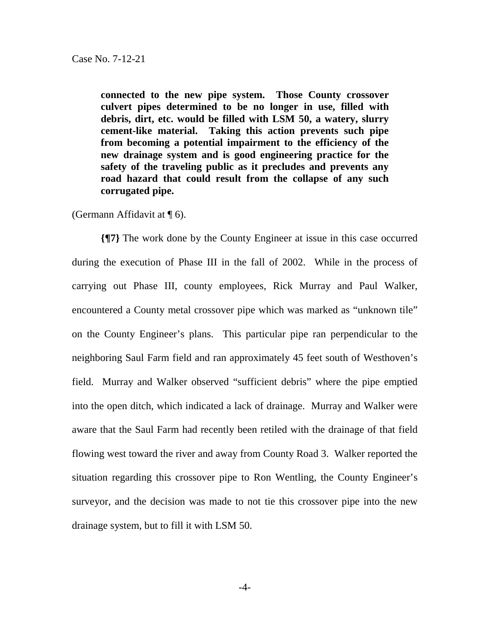**connected to the new pipe system. Those County crossover culvert pipes determined to be no longer in use, filled with debris, dirt, etc. would be filled with LSM 50, a watery, slurry cement-like material. Taking this action prevents such pipe from becoming a potential impairment to the efficiency of the new drainage system and is good engineering practice for the safety of the traveling public as it precludes and prevents any road hazard that could result from the collapse of any such corrugated pipe.** 

(Germann Affidavit at ¶ 6).

**{¶7}** The work done by the County Engineer at issue in this case occurred during the execution of Phase III in the fall of 2002. While in the process of carrying out Phase III, county employees, Rick Murray and Paul Walker, encountered a County metal crossover pipe which was marked as "unknown tile" on the County Engineer's plans. This particular pipe ran perpendicular to the neighboring Saul Farm field and ran approximately 45 feet south of Westhoven's field. Murray and Walker observed "sufficient debris" where the pipe emptied into the open ditch, which indicated a lack of drainage. Murray and Walker were aware that the Saul Farm had recently been retiled with the drainage of that field flowing west toward the river and away from County Road 3. Walker reported the situation regarding this crossover pipe to Ron Wentling, the County Engineer's surveyor, and the decision was made to not tie this crossover pipe into the new drainage system, but to fill it with LSM 50.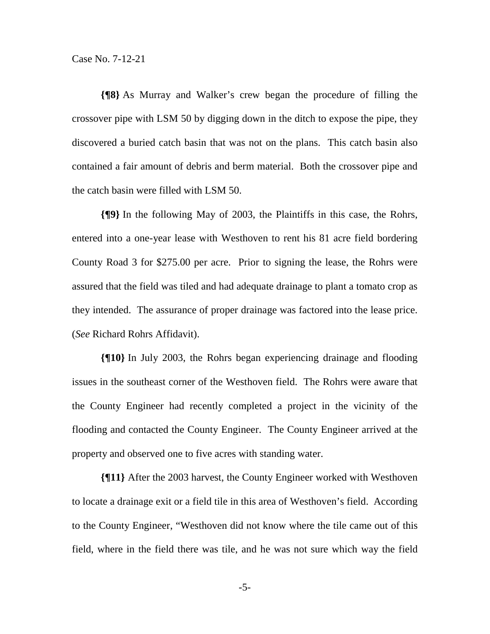**{¶8}** As Murray and Walker's crew began the procedure of filling the crossover pipe with LSM 50 by digging down in the ditch to expose the pipe, they discovered a buried catch basin that was not on the plans. This catch basin also contained a fair amount of debris and berm material. Both the crossover pipe and the catch basin were filled with LSM 50.

**{¶9}** In the following May of 2003, the Plaintiffs in this case, the Rohrs, entered into a one-year lease with Westhoven to rent his 81 acre field bordering County Road 3 for \$275.00 per acre. Prior to signing the lease, the Rohrs were assured that the field was tiled and had adequate drainage to plant a tomato crop as they intended. The assurance of proper drainage was factored into the lease price. (*See* Richard Rohrs Affidavit).

**{¶10}** In July 2003, the Rohrs began experiencing drainage and flooding issues in the southeast corner of the Westhoven field. The Rohrs were aware that the County Engineer had recently completed a project in the vicinity of the flooding and contacted the County Engineer. The County Engineer arrived at the property and observed one to five acres with standing water.

**{¶11}** After the 2003 harvest, the County Engineer worked with Westhoven to locate a drainage exit or a field tile in this area of Westhoven's field. According to the County Engineer, "Westhoven did not know where the tile came out of this field, where in the field there was tile, and he was not sure which way the field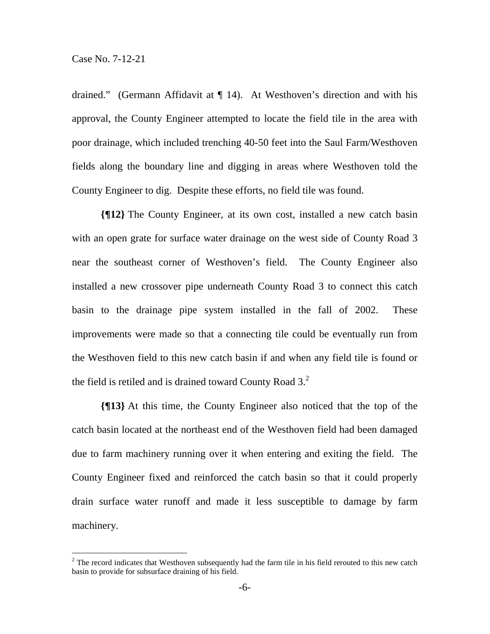$\overline{a}$ 

drained." (Germann Affidavit at ¶ 14). At Westhoven's direction and with his approval, the County Engineer attempted to locate the field tile in the area with poor drainage, which included trenching 40-50 feet into the Saul Farm/Westhoven fields along the boundary line and digging in areas where Westhoven told the County Engineer to dig. Despite these efforts, no field tile was found.

**{¶12}** The County Engineer, at its own cost, installed a new catch basin with an open grate for surface water drainage on the west side of County Road 3 near the southeast corner of Westhoven's field. The County Engineer also installed a new crossover pipe underneath County Road 3 to connect this catch basin to the drainage pipe system installed in the fall of 2002. These improvements were made so that a connecting tile could be eventually run from the Westhoven field to this new catch basin if and when any field tile is found or the field is retiled and is drained toward County Road  $3<sup>2</sup>$ .

**{¶13}** At this time, the County Engineer also noticed that the top of the catch basin located at the northeast end of the Westhoven field had been damaged due to farm machinery running over it when entering and exiting the field. The County Engineer fixed and reinforced the catch basin so that it could properly drain surface water runoff and made it less susceptible to damage by farm machinery.

 $2^{2}$  The record indicates that Westhoven subsequently had the farm tile in his field rerouted to this new catch basin to provide for subsurface draining of his field.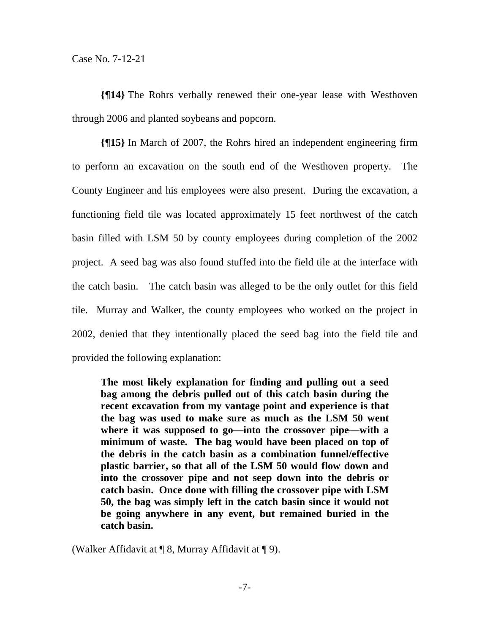**{¶14}** The Rohrs verbally renewed their one-year lease with Westhoven through 2006 and planted soybeans and popcorn.

**{¶15}** In March of 2007, the Rohrs hired an independent engineering firm to perform an excavation on the south end of the Westhoven property. The County Engineer and his employees were also present. During the excavation, a functioning field tile was located approximately 15 feet northwest of the catch basin filled with LSM 50 by county employees during completion of the 2002 project. A seed bag was also found stuffed into the field tile at the interface with the catch basin. The catch basin was alleged to be the only outlet for this field tile. Murray and Walker, the county employees who worked on the project in 2002, denied that they intentionally placed the seed bag into the field tile and provided the following explanation:

**The most likely explanation for finding and pulling out a seed bag among the debris pulled out of this catch basin during the recent excavation from my vantage point and experience is that the bag was used to make sure as much as the LSM 50 went where it was supposed to go—into the crossover pipe—with a minimum of waste. The bag would have been placed on top of the debris in the catch basin as a combination funnel/effective plastic barrier, so that all of the LSM 50 would flow down and into the crossover pipe and not seep down into the debris or catch basin. Once done with filling the crossover pipe with LSM 50, the bag was simply left in the catch basin since it would not be going anywhere in any event, but remained buried in the catch basin.** 

(Walker Affidavit at ¶ 8, Murray Affidavit at ¶ 9).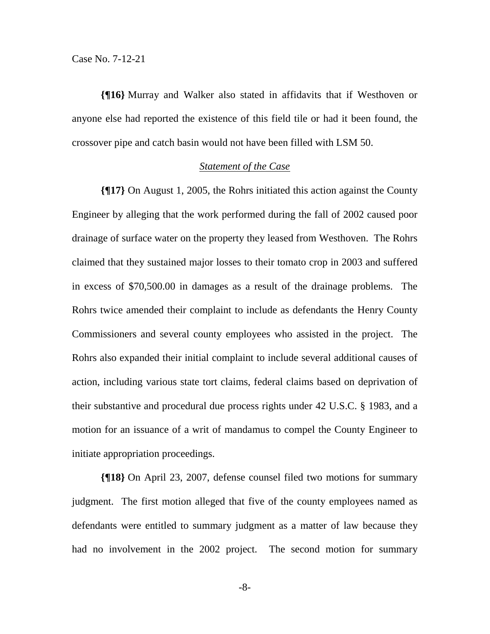**{¶16}** Murray and Walker also stated in affidavits that if Westhoven or anyone else had reported the existence of this field tile or had it been found, the crossover pipe and catch basin would not have been filled with LSM 50.

#### *Statement of the Case*

**{¶17}** On August 1, 2005, the Rohrs initiated this action against the County Engineer by alleging that the work performed during the fall of 2002 caused poor drainage of surface water on the property they leased from Westhoven. The Rohrs claimed that they sustained major losses to their tomato crop in 2003 and suffered in excess of \$70,500.00 in damages as a result of the drainage problems. The Rohrs twice amended their complaint to include as defendants the Henry County Commissioners and several county employees who assisted in the project. The Rohrs also expanded their initial complaint to include several additional causes of action, including various state tort claims, federal claims based on deprivation of their substantive and procedural due process rights under 42 U.S.C. § 1983, and a motion for an issuance of a writ of mandamus to compel the County Engineer to initiate appropriation proceedings.

**{¶18}** On April 23, 2007, defense counsel filed two motions for summary judgment. The first motion alleged that five of the county employees named as defendants were entitled to summary judgment as a matter of law because they had no involvement in the 2002 project. The second motion for summary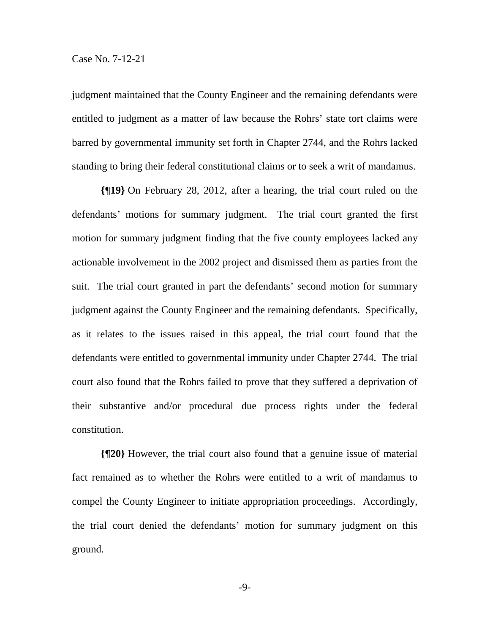judgment maintained that the County Engineer and the remaining defendants were entitled to judgment as a matter of law because the Rohrs' state tort claims were barred by governmental immunity set forth in Chapter 2744, and the Rohrs lacked standing to bring their federal constitutional claims or to seek a writ of mandamus.

**{¶19}** On February 28, 2012, after a hearing, the trial court ruled on the defendants' motions for summary judgment. The trial court granted the first motion for summary judgment finding that the five county employees lacked any actionable involvement in the 2002 project and dismissed them as parties from the suit. The trial court granted in part the defendants' second motion for summary judgment against the County Engineer and the remaining defendants. Specifically, as it relates to the issues raised in this appeal, the trial court found that the defendants were entitled to governmental immunity under Chapter 2744. The trial court also found that the Rohrs failed to prove that they suffered a deprivation of their substantive and/or procedural due process rights under the federal constitution.

**{¶20}** However, the trial court also found that a genuine issue of material fact remained as to whether the Rohrs were entitled to a writ of mandamus to compel the County Engineer to initiate appropriation proceedings. Accordingly, the trial court denied the defendants' motion for summary judgment on this ground.

-9-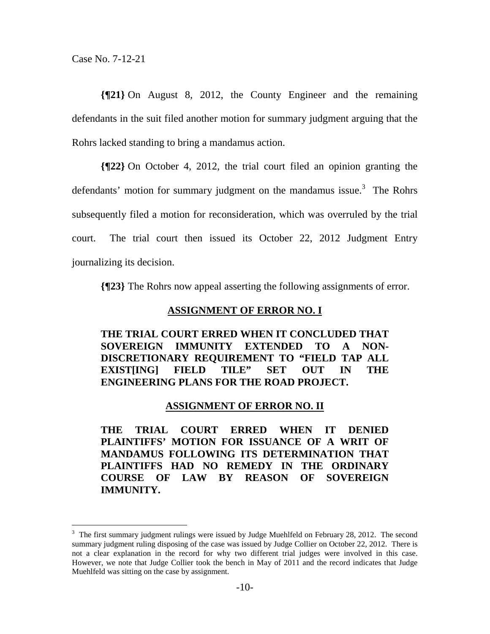$\overline{a}$ 

**{¶21}** On August 8, 2012, the County Engineer and the remaining defendants in the suit filed another motion for summary judgment arguing that the Rohrs lacked standing to bring a mandamus action.

**{¶22}** On October 4, 2012, the trial court filed an opinion granting the defendants' motion for summary judgment on the mandamus issue. $3$  The Rohrs subsequently filed a motion for reconsideration, which was overruled by the trial court. The trial court then issued its October 22, 2012 Judgment Entry journalizing its decision.

**{¶23}** The Rohrs now appeal asserting the following assignments of error.

#### **ASSIGNMENT OF ERROR NO. I**

**THE TRIAL COURT ERRED WHEN IT CONCLUDED THAT SOVEREIGN IMMUNITY EXTENDED TO A NON-DISCRETIONARY REQUIREMENT TO "FIELD TAP ALL EXIST[ING] FIELD TILE" SET OUT IN THE ENGINEERING PLANS FOR THE ROAD PROJECT.** 

#### **ASSIGNMENT OF ERROR NO. II**

**THE TRIAL COURT ERRED WHEN IT DENIED PLAINTIFFS' MOTION FOR ISSUANCE OF A WRIT OF MANDAMUS FOLLOWING ITS DETERMINATION THAT PLAINTIFFS HAD NO REMEDY IN THE ORDINARY COURSE OF LAW BY REASON OF SOVEREIGN IMMUNITY.** 

 $3$  The first summary judgment rulings were issued by Judge Muehlfeld on February 28, 2012. The second summary judgment ruling disposing of the case was issued by Judge Collier on October 22, 2012. There is not a clear explanation in the record for why two different trial judges were involved in this case. However, we note that Judge Collier took the bench in May of 2011 and the record indicates that Judge Muehlfeld was sitting on the case by assignment.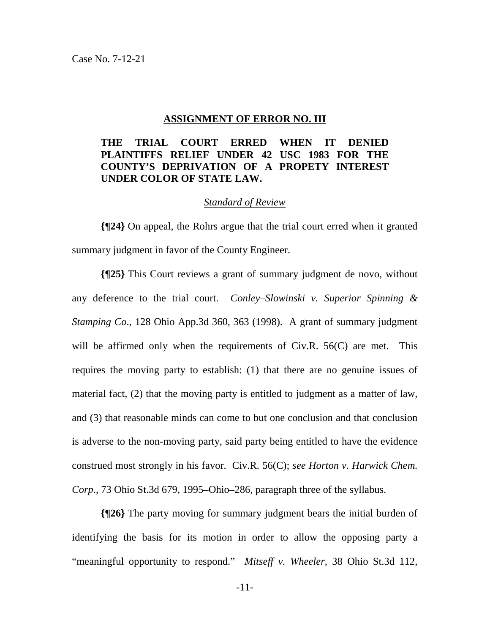#### **ASSIGNMENT OF ERROR NO. III**

## **THE TRIAL COURT ERRED WHEN IT DENIED PLAINTIFFS RELIEF UNDER 42 USC 1983 FOR THE COUNTY'S DEPRIVATION OF A PROPETY INTEREST UNDER COLOR OF STATE LAW.**

#### *Standard of Review*

**{¶24}** On appeal, the Rohrs argue that the trial court erred when it granted summary judgment in favor of the County Engineer.

**{¶25}** This Court reviews a grant of summary judgment de novo, without any deference to the trial court. *Conley–Slowinski v. Superior Spinning & Stamping Co*., 128 Ohio App.3d 360, 363 (1998). A grant of summary judgment will be affirmed only when the requirements of Civ.R. 56(C) are met. This requires the moving party to establish: (1) that there are no genuine issues of material fact, (2) that the moving party is entitled to judgment as a matter of law, and (3) that reasonable minds can come to but one conclusion and that conclusion is adverse to the non-moving party, said party being entitled to have the evidence construed most strongly in his favor. Civ.R. 56(C); *see Horton v. Harwick Chem. Corp*., 73 Ohio St.3d 679, 1995–Ohio–286, paragraph three of the syllabus.

**{¶26}** The party moving for summary judgment bears the initial burden of identifying the basis for its motion in order to allow the opposing party a "meaningful opportunity to respond." *Mitseff v. Wheeler*, 38 Ohio St.3d 112,

-11-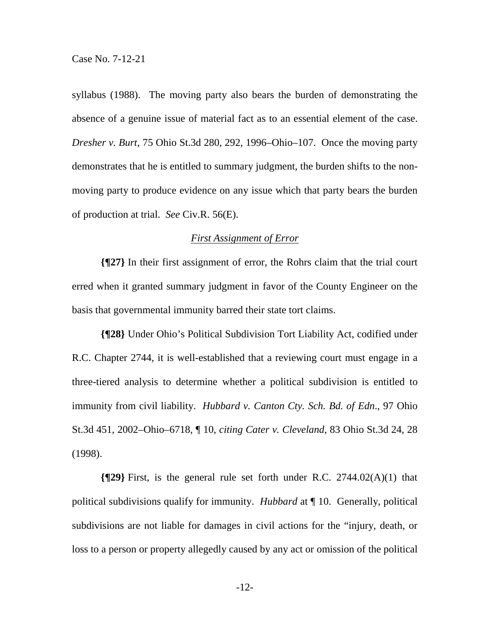syllabus (1988). The moving party also bears the burden of demonstrating the absence of a genuine issue of material fact as to an essential element of the case. *Dresher v. Burt*, 75 Ohio St.3d 280, 292, 1996–Ohio–107. Once the moving party demonstrates that he is entitled to summary judgment, the burden shifts to the nonmoving party to produce evidence on any issue which that party bears the burden of production at trial. *See* Civ.R. 56(E).

#### *First Assignment of Error*

**{¶27}** In their first assignment of error, the Rohrs claim that the trial court erred when it granted summary judgment in favor of the County Engineer on the basis that governmental immunity barred their state tort claims.

**{¶28}** Under Ohio's Political Subdivision Tort Liability Act, codified under R.C. Chapter 2744, it is well-established that a reviewing court must engage in a three-tiered analysis to determine whether a political subdivision is entitled to immunity from civil liability. *Hubbard v. Canton Cty. Sch. Bd. of Edn*., 97 Ohio St.3d 451, 2002–Ohio–6718, ¶ 10, *citing Cater v. Cleveland*, 83 Ohio St.3d 24, 28 (1998).

**{¶29}** First, is the general rule set forth under R.C. 2744.02(A)(1) that political subdivisions qualify for immunity. *Hubbard* at ¶ 10. Generally, political subdivisions are not liable for damages in civil actions for the "injury, death, or loss to a person or property allegedly caused by any act or omission of the political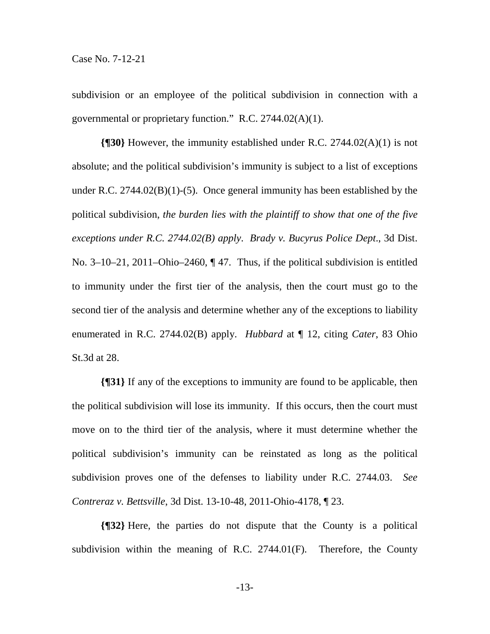subdivision or an employee of the political subdivision in connection with a governmental or proprietary function." R.C. 2744.02(A)(1).

**{¶30}** However, the immunity established under R.C. 2744.02(A)(1) is not absolute; and the political subdivision's immunity is subject to a list of exceptions under R.C. 2744.02(B)(1)-(5). Once general immunity has been established by the political subdivision, *the burden lies with the plaintiff to show that one of the five exceptions under R.C. 2744.02(B) apply*. *Brady v. Bucyrus Police Dept*., 3d Dist. No. 3–10–21, 2011–Ohio–2460, ¶47. Thus, if the political subdivision is entitled to immunity under the first tier of the analysis, then the court must go to the second tier of the analysis and determine whether any of the exceptions to liability enumerated in R.C. 2744.02(B) apply. *Hubbard* at ¶ 12, citing *Cater*, 83 Ohio St.3d at 28.

**{¶31}** If any of the exceptions to immunity are found to be applicable, then the political subdivision will lose its immunity. If this occurs, then the court must move on to the third tier of the analysis, where it must determine whether the political subdivision's immunity can be reinstated as long as the political subdivision proves one of the defenses to liability under R.C. 2744.03. *See Contreraz v. Bettsville*, 3d Dist. 13-10-48, 2011-Ohio-4178, ¶ 23.

**{¶32}** Here, the parties do not dispute that the County is a political subdivision within the meaning of R.C.  $2744.01(F)$ . Therefore, the County

-13-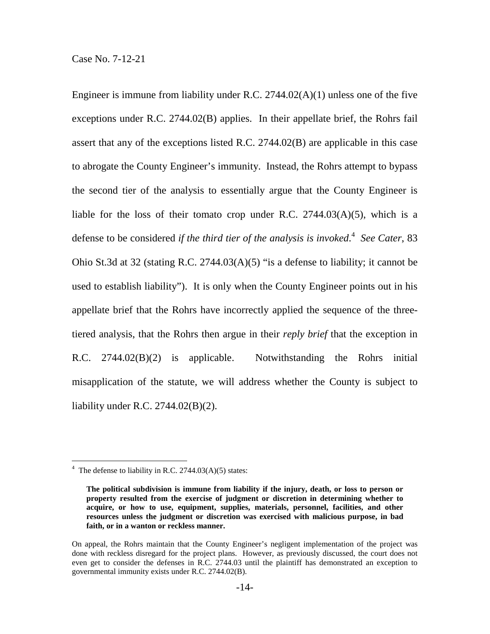Engineer is immune from liability under R.C.  $2744.02(A)(1)$  unless one of the five exceptions under R.C. 2744.02(B) applies. In their appellate brief, the Rohrs fail assert that any of the exceptions listed R.C. 2744.02(B) are applicable in this case to abrogate the County Engineer's immunity. Instead, the Rohrs attempt to bypass the second tier of the analysis to essentially argue that the County Engineer is liable for the loss of their tomato crop under R.C.  $2744.03(A)(5)$ , which is a defense to be considered *if the third tier of the analysis is invoked*. 4 *See Cater*, 83 Ohio St.3d at 32 (stating R.C. 2744.03(A)(5) "is a defense to liability; it cannot be used to establish liability"). It is only when the County Engineer points out in his appellate brief that the Rohrs have incorrectly applied the sequence of the threetiered analysis, that the Rohrs then argue in their *reply brief* that the exception in R.C. 2744.02(B)(2) is applicable. Notwithstanding the Rohrs initial misapplication of the statute, we will address whether the County is subject to liability under R.C. 2744.02(B)(2).

 $\overline{a}$ 

 $4$  The defense to liability in R.C. 2744.03(A)(5) states:

**The political subdivision is immune from liability if the injury, death, or loss to person or property resulted from the exercise of judgment or discretion in determining whether to acquire, or how to use, equipment, supplies, materials, personnel, facilities, and other resources unless the judgment or discretion was exercised with malicious purpose, in bad faith, or in a wanton or reckless manner.** 

On appeal, the Rohrs maintain that the County Engineer's negligent implementation of the project was done with reckless disregard for the project plans. However, as previously discussed, the court does not even get to consider the defenses in R.C. 2744.03 until the plaintiff has demonstrated an exception to governmental immunity exists under R.C. 2744.02(B).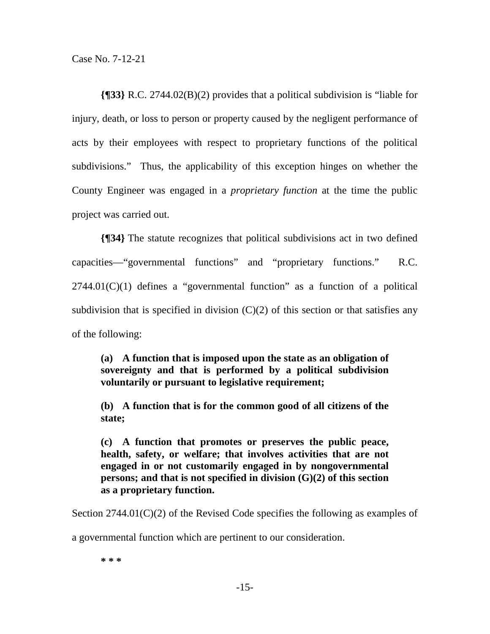**{¶33}** R.C. 2744.02(B)(2) provides that a political subdivision is "liable for injury, death, or loss to person or property caused by the negligent performance of acts by their employees with respect to proprietary functions of the political subdivisions." Thus, the applicability of this exception hinges on whether the County Engineer was engaged in a *proprietary function* at the time the public project was carried out.

**{¶34}** The statute recognizes that political subdivisions act in two defined capacities—"governmental functions" and "proprietary functions." R.C.  $2744.01(C)(1)$  defines a "governmental function" as a function of a political subdivision that is specified in division  $(C)(2)$  of this section or that satisfies any of the following:

**(a) A function that is imposed upon the state as an obligation of sovereignty and that is performed by a political subdivision voluntarily or pursuant to legislative requirement;** 

**(b) A function that is for the common good of all citizens of the state;** 

**(c) A function that promotes or preserves the public peace, health, safety, or welfare; that involves activities that are not engaged in or not customarily engaged in by nongovernmental persons; and that is not specified in division (G)(2) of this section as a proprietary function.** 

Section  $2744.01(C)(2)$  of the Revised Code specifies the following as examples of

a governmental function which are pertinent to our consideration.

**\* \* \***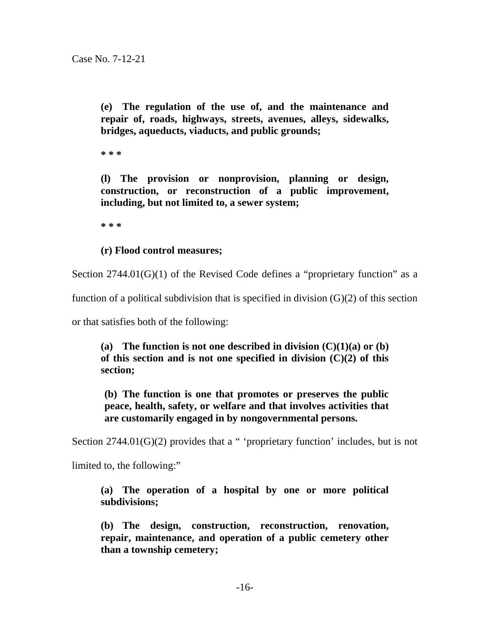**(e) The regulation of the use of, and the maintenance and repair of, roads, highways, streets, avenues, alleys, sidewalks, bridges, aqueducts, viaducts, and public grounds;** 

**\* \* \*** 

**(l) The provision or nonprovision, planning or design, construction, or reconstruction of a public improvement, including, but not limited to, a sewer system;** 

**\* \* \*** 

## **(r) Flood control measures;**

Section  $2744.01(G)(1)$  of the Revised Code defines a "proprietary function" as a

function of a political subdivision that is specified in division  $(G)(2)$  of this section

or that satisfies both of the following:

(a) The function is not one described in division  $(C)(1)(a)$  or  $(b)$ **of this section and is not one specified in division (C)(2) of this section;** 

**(b) The function is one that promotes or preserves the public peace, health, safety, or welfare and that involves activities that are customarily engaged in by nongovernmental persons.** 

Section  $2744.01(G)(2)$  provides that a " 'proprietary function' includes, but is not

limited to, the following:"

**(a) The operation of a hospital by one or more political subdivisions;** 

**(b) The design, construction, reconstruction, renovation, repair, maintenance, and operation of a public cemetery other than a township cemetery;**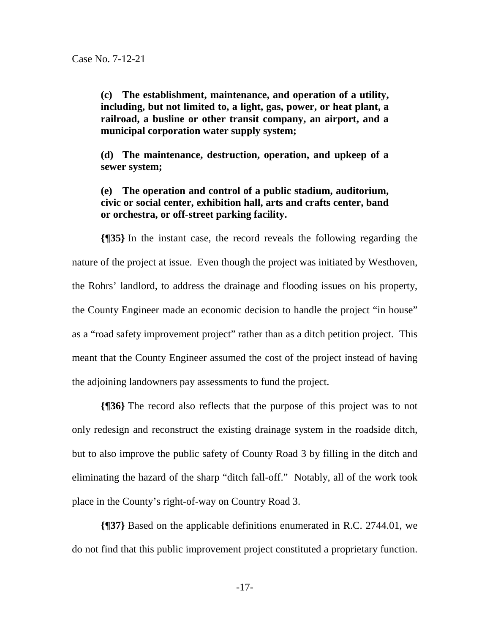**(c) The establishment, maintenance, and operation of a utility, including, but not limited to, a light, gas, power, or heat plant, a railroad, a busline or other transit company, an airport, and a municipal corporation water supply system;** 

**(d) The maintenance, destruction, operation, and upkeep of a sewer system;** 

**(e) The operation and control of a public stadium, auditorium, civic or social center, exhibition hall, arts and crafts center, band or orchestra, or off-street parking facility.** 

**{¶35}** In the instant case, the record reveals the following regarding the nature of the project at issue. Even though the project was initiated by Westhoven, the Rohrs' landlord, to address the drainage and flooding issues on his property, the County Engineer made an economic decision to handle the project "in house" as a "road safety improvement project" rather than as a ditch petition project. This meant that the County Engineer assumed the cost of the project instead of having the adjoining landowners pay assessments to fund the project.

**{¶36}** The record also reflects that the purpose of this project was to not only redesign and reconstruct the existing drainage system in the roadside ditch, but to also improve the public safety of County Road 3 by filling in the ditch and eliminating the hazard of the sharp "ditch fall-off." Notably, all of the work took place in the County's right-of-way on Country Road 3.

**{¶37}** Based on the applicable definitions enumerated in R.C. 2744.01, we do not find that this public improvement project constituted a proprietary function.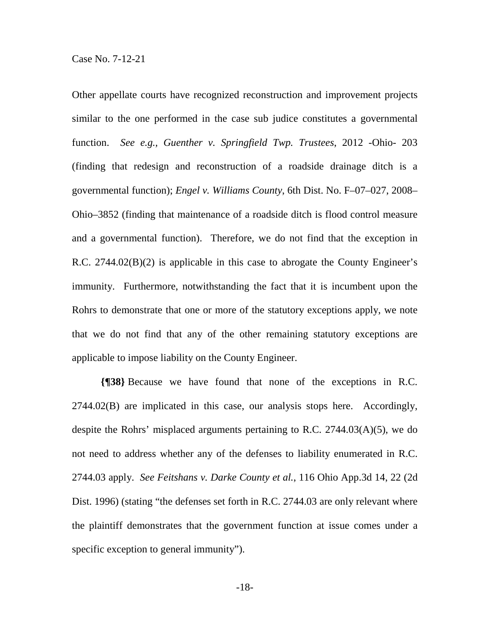Other appellate courts have recognized reconstruction and improvement projects similar to the one performed in the case sub judice constitutes a governmental function. *See e.g., Guenther v. Springfield Twp. Trustees*, 2012 -Ohio- 203 (finding that redesign and reconstruction of a roadside drainage ditch is a governmental function); *Engel v. Williams County*, 6th Dist. No. F–07–027, 2008– Ohio–3852 (finding that maintenance of a roadside ditch is flood control measure and a governmental function). Therefore, we do not find that the exception in R.C. 2744.02(B)(2) is applicable in this case to abrogate the County Engineer's immunity. Furthermore, notwithstanding the fact that it is incumbent upon the Rohrs to demonstrate that one or more of the statutory exceptions apply, we note that we do not find that any of the other remaining statutory exceptions are applicable to impose liability on the County Engineer.

**{¶38}** Because we have found that none of the exceptions in R.C. 2744.02(B) are implicated in this case, our analysis stops here. Accordingly, despite the Rohrs' misplaced arguments pertaining to R.C. 2744.03(A)(5), we do not need to address whether any of the defenses to liability enumerated in R.C. 2744.03 apply. *See Feitshans v. Darke County et al.*, 116 Ohio App.3d 14, 22 (2d Dist. 1996) (stating "the defenses set forth in R.C. 2744.03 are only relevant where the plaintiff demonstrates that the government function at issue comes under a specific exception to general immunity").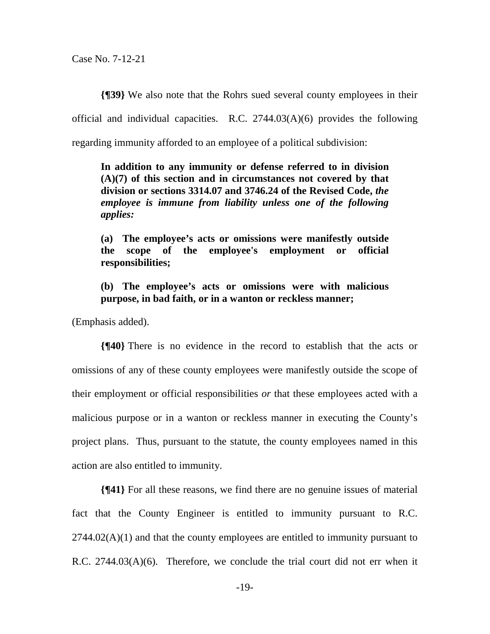**{¶39}** We also note that the Rohrs sued several county employees in their official and individual capacities. R.C.  $2744.03(A)(6)$  provides the following regarding immunity afforded to an employee of a political subdivision:

**In addition to any immunity or defense referred to in division (A)(7) of this section and in circumstances not covered by that division or sections 3314.07 and 3746.24 of the Revised Code,** *the employee is immune from liability unless one of the following applies:* 

**(a) The employee's acts or omissions were manifestly outside the scope of the employee's employment or official responsibilities;** 

**(b) The employee's acts or omissions were with malicious purpose, in bad faith, or in a wanton or reckless manner;** 

(Emphasis added).

**{¶40}** There is no evidence in the record to establish that the acts or omissions of any of these county employees were manifestly outside the scope of their employment or official responsibilities *or* that these employees acted with a malicious purpose or in a wanton or reckless manner in executing the County's project plans. Thus, pursuant to the statute, the county employees named in this action are also entitled to immunity.

**{¶41}** For all these reasons, we find there are no genuine issues of material fact that the County Engineer is entitled to immunity pursuant to R.C.  $2744.02(A)(1)$  and that the county employees are entitled to immunity pursuant to R.C.  $2744.03(A)(6)$ . Therefore, we conclude the trial court did not err when it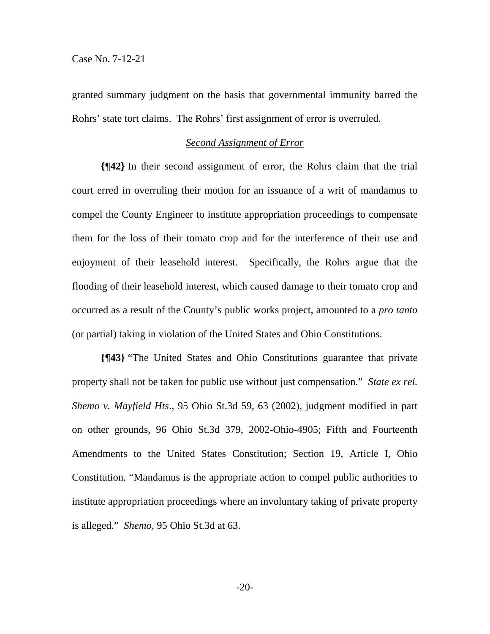granted summary judgment on the basis that governmental immunity barred the Rohrs' state tort claims. The Rohrs' first assignment of error is overruled.

### *Second Assignment of Error*

**{¶42}** In their second assignment of error, the Rohrs claim that the trial court erred in overruling their motion for an issuance of a writ of mandamus to compel the County Engineer to institute appropriation proceedings to compensate them for the loss of their tomato crop and for the interference of their use and enjoyment of their leasehold interest. Specifically, the Rohrs argue that the flooding of their leasehold interest, which caused damage to their tomato crop and occurred as a result of the County's public works project, amounted to a *pro tanto* (or partial) taking in violation of the United States and Ohio Constitutions.

**{¶43}** "The United States and Ohio Constitutions guarantee that private property shall not be taken for public use without just compensation." *State ex rel. Shemo v. Mayfield Hts*., 95 Ohio St.3d 59, 63 (2002), judgment modified in part on other grounds, 96 Ohio St.3d 379, 2002-Ohio-4905; Fifth and Fourteenth Amendments to the United States Constitution; Section 19, Article I, Ohio Constitution. "Mandamus is the appropriate action to compel public authorities to institute appropriation proceedings where an involuntary taking of private property is alleged." *Shemo*, 95 Ohio St.3d at 63.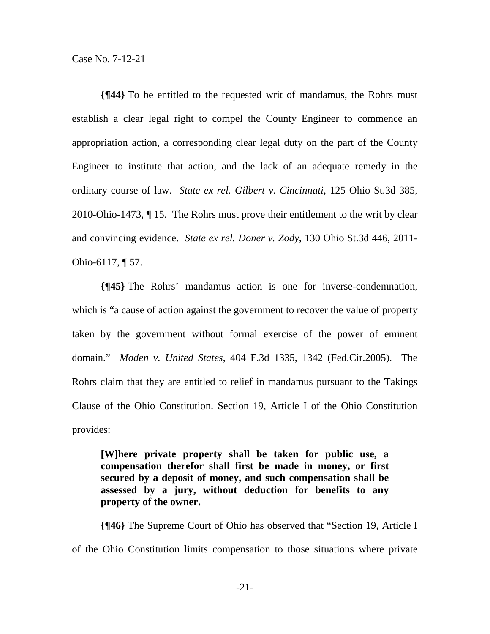**{¶44}** To be entitled to the requested writ of mandamus, the Rohrs must establish a clear legal right to compel the County Engineer to commence an appropriation action, a corresponding clear legal duty on the part of the County Engineer to institute that action, and the lack of an adequate remedy in the ordinary course of law. *State ex rel. Gilbert v. Cincinnati*, 125 Ohio St.3d 385, 2010-Ohio-1473, ¶ 15. The Rohrs must prove their entitlement to the writ by clear and convincing evidence. *State ex rel. Doner v. Zody*, 130 Ohio St.3d 446, 2011- Ohio-6117, ¶ 57.

**{¶45}** The Rohrs' mandamus action is one for inverse-condemnation, which is "a cause of action against the government to recover the value of property taken by the government without formal exercise of the power of eminent domain." *Moden v. United States*, 404 F.3d 1335, 1342 (Fed.Cir.2005). The Rohrs claim that they are entitled to relief in mandamus pursuant to the Takings Clause of the Ohio Constitution. Section 19, Article I of the Ohio Constitution provides:

**[W]here private property shall be taken for public use, a compensation therefor shall first be made in money, or first secured by a deposit of money, and such compensation shall be assessed by a jury, without deduction for benefits to any property of the owner.** 

**{¶46}** The Supreme Court of Ohio has observed that "Section 19, Article I of the Ohio Constitution limits compensation to those situations where private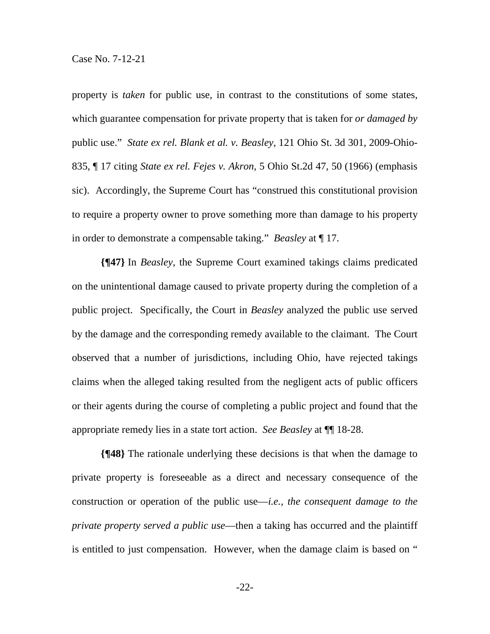property is *taken* for public use, in contrast to the constitutions of some states, which guarantee compensation for private property that is taken for *or damaged by* public use." *State ex rel. Blank et al. v. Beasley*, 121 Ohio St. 3d 301, 2009-Ohio-835, ¶ 17 citing *State ex rel. Fejes v. Akron*, 5 Ohio St.2d 47, 50 (1966) (emphasis sic). Accordingly, the Supreme Court has "construed this constitutional provision to require a property owner to prove something more than damage to his property in order to demonstrate a compensable taking." *Beasley* at ¶ 17.

**{¶47}** In *Beasley*, the Supreme Court examined takings claims predicated on the unintentional damage caused to private property during the completion of a public project. Specifically, the Court in *Beasley* analyzed the public use served by the damage and the corresponding remedy available to the claimant. The Court observed that a number of jurisdictions, including Ohio, have rejected takings claims when the alleged taking resulted from the negligent acts of public officers or their agents during the course of completing a public project and found that the appropriate remedy lies in a state tort action. *See Beasley* at ¶¶ 18-28.

**{¶48}** The rationale underlying these decisions is that when the damage to private property is foreseeable as a direct and necessary consequence of the construction or operation of the public use—*i.e., the consequent damage to the private property served a public use*—then a taking has occurred and the plaintiff is entitled to just compensation. However, when the damage claim is based on "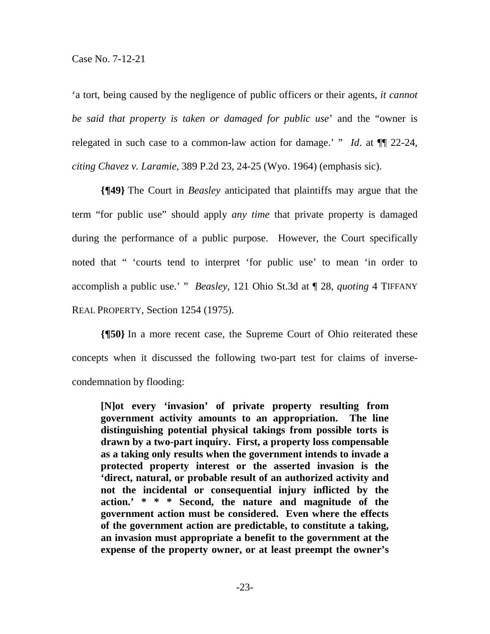'a tort, being caused by the negligence of public officers or their agents, *it cannot be said that property is taken or damaged for public use*' and the "owner is relegated in such case to a common-law action for damage.' " *Id*. at ¶¶ 22-24, *citing Chavez v. Laramie*, 389 P.2d 23, 24-25 (Wyo. 1964) (emphasis sic).

**{¶49}** The Court in *Beasley* anticipated that plaintiffs may argue that the term "for public use" should apply *any time* that private property is damaged during the performance of a public purpose. However, the Court specifically noted that " 'courts tend to interpret 'for public use' to mean 'in order to accomplish a public use.' " *Beasley*, 121 Ohio St.3d at ¶ 28, *quoting* 4 TIFFANY REAL PROPERTY, Section 1254 (1975).

**{¶50}** In a more recent case, the Supreme Court of Ohio reiterated these concepts when it discussed the following two-part test for claims of inversecondemnation by flooding:

**[N]ot every 'invasion' of private property resulting from government activity amounts to an appropriation. The line distinguishing potential physical takings from possible torts is drawn by a two-part inquiry. First, a property loss compensable as a taking only results when the government intends to invade a protected property interest or the asserted invasion is the 'direct, natural, or probable result of an authorized activity and not the incidental or consequential injury inflicted by the action.' \* \* \* Second, the nature and magnitude of the government action must be considered. Even where the effects of the government action are predictable, to constitute a taking, an invasion must appropriate a benefit to the government at the expense of the property owner, or at least preempt the owner's**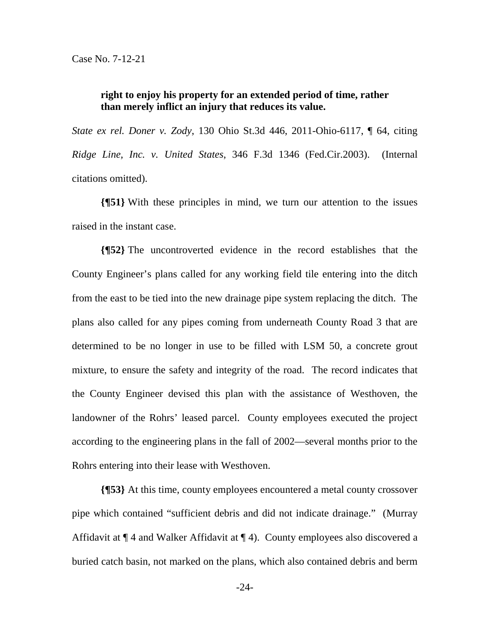## **right to enjoy his property for an extended period of time, rather than merely inflict an injury that reduces its value.**

*State ex rel. Doner v. Zody*, 130 Ohio St.3d 446, 2011-Ohio-6117, ¶ 64, citing *Ridge Line, Inc. v. United States*, 346 F.3d 1346 (Fed.Cir.2003). (Internal citations omitted).

**{¶51}** With these principles in mind, we turn our attention to the issues raised in the instant case.

**{¶52}** The uncontroverted evidence in the record establishes that the County Engineer's plans called for any working field tile entering into the ditch from the east to be tied into the new drainage pipe system replacing the ditch. The plans also called for any pipes coming from underneath County Road 3 that are determined to be no longer in use to be filled with LSM 50, a concrete grout mixture, to ensure the safety and integrity of the road. The record indicates that the County Engineer devised this plan with the assistance of Westhoven, the landowner of the Rohrs' leased parcel. County employees executed the project according to the engineering plans in the fall of 2002—several months prior to the Rohrs entering into their lease with Westhoven.

**{¶53}** At this time, county employees encountered a metal county crossover pipe which contained "sufficient debris and did not indicate drainage." (Murray Affidavit at ¶ 4 and Walker Affidavit at ¶ 4). County employees also discovered a buried catch basin, not marked on the plans, which also contained debris and berm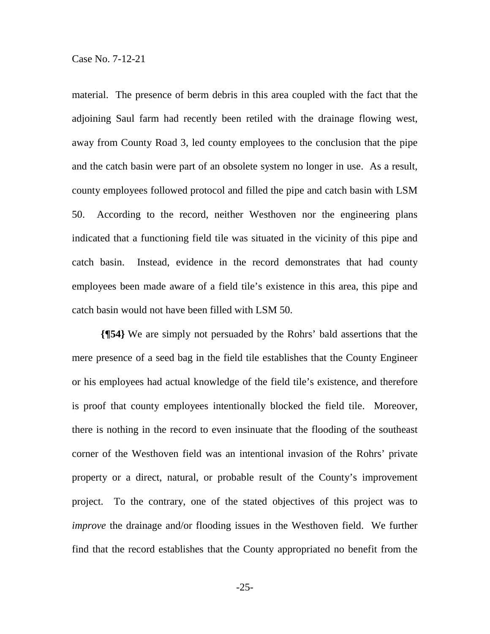material. The presence of berm debris in this area coupled with the fact that the adjoining Saul farm had recently been retiled with the drainage flowing west, away from County Road 3, led county employees to the conclusion that the pipe and the catch basin were part of an obsolete system no longer in use. As a result, county employees followed protocol and filled the pipe and catch basin with LSM 50. According to the record, neither Westhoven nor the engineering plans indicated that a functioning field tile was situated in the vicinity of this pipe and catch basin. Instead, evidence in the record demonstrates that had county employees been made aware of a field tile's existence in this area, this pipe and catch basin would not have been filled with LSM 50.

**{¶54}** We are simply not persuaded by the Rohrs' bald assertions that the mere presence of a seed bag in the field tile establishes that the County Engineer or his employees had actual knowledge of the field tile's existence, and therefore is proof that county employees intentionally blocked the field tile. Moreover, there is nothing in the record to even insinuate that the flooding of the southeast corner of the Westhoven field was an intentional invasion of the Rohrs' private property or a direct, natural, or probable result of the County's improvement project. To the contrary, one of the stated objectives of this project was to *improve* the drainage and/or flooding issues in the Westhoven field. We further find that the record establishes that the County appropriated no benefit from the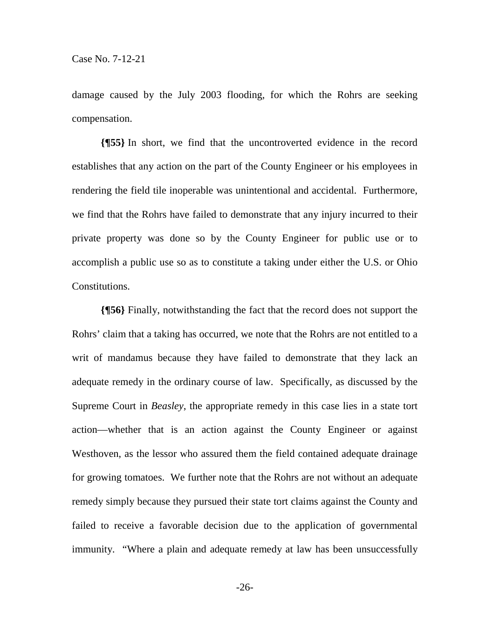damage caused by the July 2003 flooding, for which the Rohrs are seeking compensation.

**{¶55}** In short, we find that the uncontroverted evidence in the record establishes that any action on the part of the County Engineer or his employees in rendering the field tile inoperable was unintentional and accidental. Furthermore, we find that the Rohrs have failed to demonstrate that any injury incurred to their private property was done so by the County Engineer for public use or to accomplish a public use so as to constitute a taking under either the U.S. or Ohio Constitutions.

**{¶56}** Finally, notwithstanding the fact that the record does not support the Rohrs' claim that a taking has occurred, we note that the Rohrs are not entitled to a writ of mandamus because they have failed to demonstrate that they lack an adequate remedy in the ordinary course of law. Specifically, as discussed by the Supreme Court in *Beasley*, the appropriate remedy in this case lies in a state tort action—whether that is an action against the County Engineer or against Westhoven, as the lessor who assured them the field contained adequate drainage for growing tomatoes. We further note that the Rohrs are not without an adequate remedy simply because they pursued their state tort claims against the County and failed to receive a favorable decision due to the application of governmental immunity. "Where a plain and adequate remedy at law has been unsuccessfully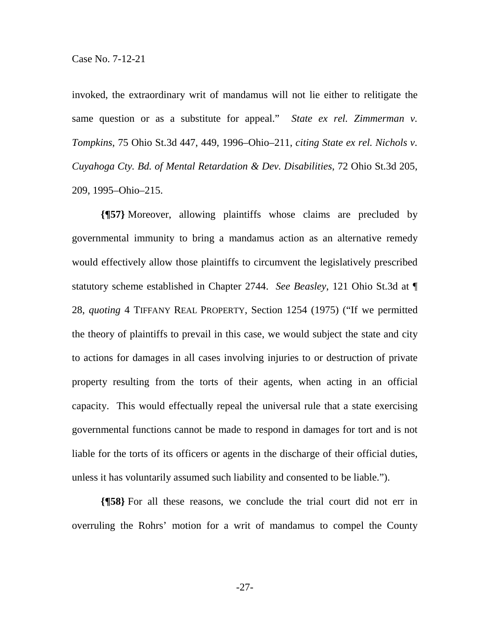invoked, the extraordinary writ of mandamus will not lie either to relitigate the same question or as a substitute for appeal." *State ex rel. Zimmerman v. Tompkins*, 75 Ohio St.3d 447, 449, 1996–Ohio–211, *citing State ex rel. Nichols v. Cuyahoga Cty. Bd. of Mental Retardation & Dev. Disabilities*, 72 Ohio St.3d 205, 209, 1995–Ohio–215.

**{¶57}** Moreover, allowing plaintiffs whose claims are precluded by governmental immunity to bring a mandamus action as an alternative remedy would effectively allow those plaintiffs to circumvent the legislatively prescribed statutory scheme established in Chapter 2744. *See Beasley*, 121 Ohio St.3d at ¶ 28, *quoting* 4 TIFFANY REAL PROPERTY, Section 1254 (1975) ("If we permitted the theory of plaintiffs to prevail in this case, we would subject the state and city to actions for damages in all cases involving injuries to or destruction of private property resulting from the torts of their agents, when acting in an official capacity. This would effectually repeal the universal rule that a state exercising governmental functions cannot be made to respond in damages for tort and is not liable for the torts of its officers or agents in the discharge of their official duties, unless it has voluntarily assumed such liability and consented to be liable.").

**{¶58}** For all these reasons, we conclude the trial court did not err in overruling the Rohrs' motion for a writ of mandamus to compel the County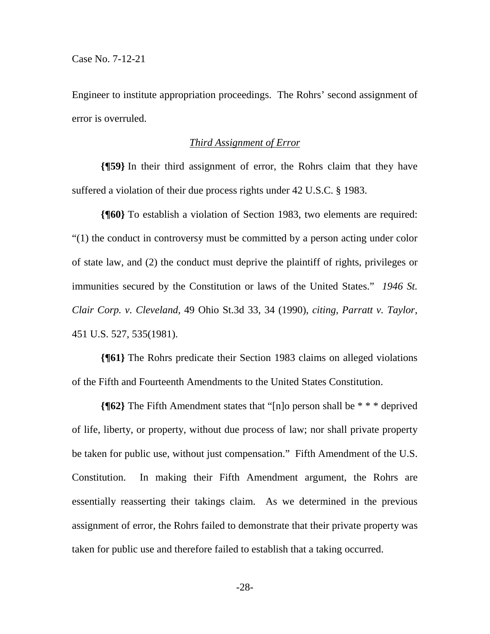Engineer to institute appropriation proceedings. The Rohrs' second assignment of error is overruled.

### *Third Assignment of Error*

**{¶59}** In their third assignment of error, the Rohrs claim that they have suffered a violation of their due process rights under 42 U.S.C. § 1983.

**{¶60}** To establish a violation of Section 1983, two elements are required: "(1) the conduct in controversy must be committed by a person acting under color of state law, and (2) the conduct must deprive the plaintiff of rights, privileges or immunities secured by the Constitution or laws of the United States." *1946 St. Clair Corp. v. Cleveland*, 49 Ohio St.3d 33, 34 (1990), *citing*, *Parratt v. Taylor*, 451 U.S. 527, 535(1981).

**{¶61}** The Rohrs predicate their Section 1983 claims on alleged violations of the Fifth and Fourteenth Amendments to the United States Constitution.

**{¶62}** The Fifth Amendment states that "[n]o person shall be \* \* \* deprived of life, liberty, or property, without due process of law; nor shall private property be taken for public use, without just compensation." Fifth Amendment of the U.S. Constitution. In making their Fifth Amendment argument, the Rohrs are essentially reasserting their takings claim. As we determined in the previous assignment of error, the Rohrs failed to demonstrate that their private property was taken for public use and therefore failed to establish that a taking occurred.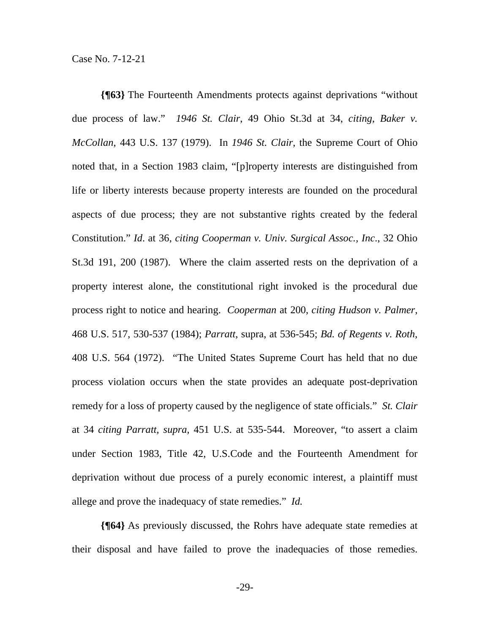**{¶63}** The Fourteenth Amendments protects against deprivations "without due process of law." *1946 St. Clair*, 49 Ohio St.3d at 34, *citing*, *Baker v. McCollan*, 443 U.S. 137 (1979). In *1946 St. Clair*, the Supreme Court of Ohio noted that, in a Section 1983 claim, "[p]roperty interests are distinguished from life or liberty interests because property interests are founded on the procedural aspects of due process; they are not substantive rights created by the federal Constitution." *Id*. at 36, *citing Cooperman v. Univ. Surgical Assoc., Inc*., 32 Ohio St.3d 191, 200 (1987). Where the claim asserted rests on the deprivation of a property interest alone, the constitutional right invoked is the procedural due process right to notice and hearing. *Cooperman* at 200, *citing Hudson v. Palmer*, 468 U.S. 517, 530-537 (1984); *Parratt*, supra, at 536-545; *Bd. of Regents v. Roth*, 408 U.S. 564 (1972). "The United States Supreme Court has held that no due process violation occurs when the state provides an adequate post-deprivation remedy for a loss of property caused by the negligence of state officials." *St. Clair* at 34 *citing Parratt, supra,* 451 U.S. at 535-544. Moreover, "to assert a claim under Section 1983, Title 42, U.S.Code and the Fourteenth Amendment for deprivation without due process of a purely economic interest, a plaintiff must allege and prove the inadequacy of state remedies." *Id.* 

**{¶64}** As previously discussed, the Rohrs have adequate state remedies at their disposal and have failed to prove the inadequacies of those remedies.